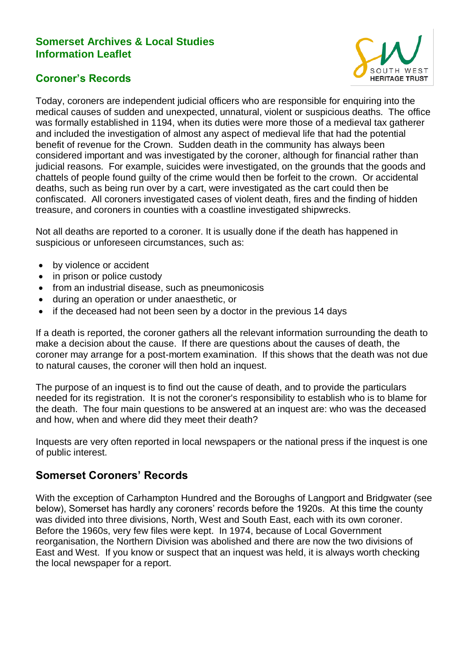## **Somerset Archives & Local Studies Information Leaflet**



## **Coroner's Records**

Today, coroners are independent judicial officers who are responsible for enquiring into the medical causes of sudden and unexpected, unnatural, violent or suspicious deaths. The office was formally established in 1194, when its duties were more those of a medieval tax gatherer and included the investigation of almost any aspect of medieval life that had the potential benefit of revenue for the Crown. Sudden death in the community has always been considered important and was investigated by the coroner, although for financial rather than judicial reasons. For example, suicides were investigated, on the grounds that the goods and chattels of people found guilty of the crime would then be forfeit to the crown. Or accidental deaths, such as being run over by a cart, were investigated as the cart could then be confiscated. All coroners investigated cases of violent death, fires and the finding of hidden treasure, and coroners in counties with a coastline investigated shipwrecks.

Not all deaths are reported to a coroner. It is usually done if the death has happened in suspicious or unforeseen circumstances, such as:

- by violence or accident
- in prison or police custody
- from an industrial disease, such as pneumonicosis
- during an operation or under anaesthetic, or
- if the deceased had not been seen by a doctor in the previous 14 days

If a death is reported, the coroner gathers all the relevant information surrounding the death to make a decision about the cause. If there are questions about the causes of death, the coroner may arrange for a post-mortem examination. If this shows that the death was not due to natural causes, the coroner will then hold an inquest.

The purpose of an inquest is to find out the cause of death, and to provide the particulars needed for its registration. It is not the coroner's responsibility to establish who is to blame for the death. The four main questions to be answered at an inquest are: who was the deceased and how, when and where did they meet their death?

Inquests are very often reported in local newspapers or the national press if the inquest is one of public interest.

## **Somerset Coroners' Records**

With the exception of Carhampton Hundred and the Boroughs of Langport and Bridgwater (see below), Somerset has hardly any coroners' records before the 1920s. At this time the county was divided into three divisions, North, West and South East, each with its own coroner. Before the 1960s, very few files were kept. In 1974, because of Local Government reorganisation, the Northern Division was abolished and there are now the two divisions of East and West. If you know or suspect that an inquest was held, it is always worth checking the local newspaper for a report.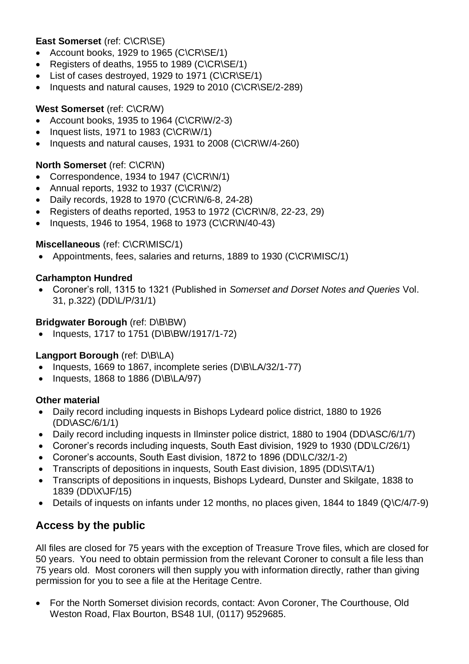## **East Somerset** (ref: C\CR\SE)

- Account books, 1929 to 1965 (C\CR\SE/1)
- Registers of deaths, 1955 to 1989 (C\CR\SE/1)
- List of cases destroyed, 1929 to 1971 (C\CR\SE/1)
- Inquests and natural causes, 1929 to 2010 (C\CR\SE/2-289)

## **West Somerset** (ref: C\CR/W)

- Account books, 1935 to 1964  $(C\CR\W/2-3)$
- $\bullet$  Inquest lists, 1971 to 1983 (C\CR\W/1)
- Inquests and natural causes, 1931 to 2008 (C\CR\W/4-260)

#### **North Somerset** (ref: C\CR\N)

- Correspondence, 1934 to 1947 (C\CR\N/1)
- Annual reports, 1932 to 1937 (C\CR\N/2)
- Daily records, 1928 to 1970 (C\CR\N/6-8, 24-28)
- Registers of deaths reported, 1953 to 1972 (C\CR\N/8, 22-23, 29)
- Inquests, 1946 to 1954, 1968 to 1973 (C\CR\N/40-43)

#### **Miscellaneous** (ref: C\CR\MISC/1)

Appointments, fees, salaries and returns, 1889 to 1930 (C\CR\MISC/1)

#### **Carhampton Hundred**

 Coroner's roll, 1315 to 1321 (Published in *Somerset and Dorset Notes and Queries* Vol. 31, p.322) (DD\L/P/31/1)

#### **Bridgwater Borough** (ref: D\B\BW)

Inquests, 1717 to 1751 (D\B\BW/1917/1-72)

### **Langport Borough** (ref: D\B\LA)

- Inquests, 1669 to 1867, incomplete series (D\B\LA/32/1-77)
- $\bullet$  Inquests, 1868 to 1886 (D\B\LA/97)

### **Other material**

- Daily record including inquests in Bishops Lydeard police district, 1880 to 1926 (DD\ASC/6/1/1)
- Daily record including inquests in Ilminster police district, 1880 to 1904 (DD\ASC/6/1/7)
- Coroner's records including inquests, South East division, 1929 to 1930 (DD\LC/26/1)
- Coroner's accounts, South East division, 1872 to 1896 (DD\LC/32/1-2)
- Transcripts of depositions in inquests, South East division, 1895 (DD\S\TA/1)
- Transcripts of depositions in inquests, Bishops Lydeard, Dunster and Skilgate, 1838 to 1839 (DD\X\JF/15)
- Details of inquests on infants under 12 months, no places given, 1844 to 1849 (Q\C/4/7-9)

## **Access by the public**

All files are closed for 75 years with the exception of Treasure Trove files, which are closed for 50 years. You need to obtain permission from the relevant Coroner to consult a file less than 75 years old. Most coroners will then supply you with information directly, rather than giving permission for you to see a file at the Heritage Centre.

 For the North Somerset division records, contact: Avon Coroner, The Courthouse, Old Weston Road, Flax Bourton, BS48 1Ul, (0117) 9529685.